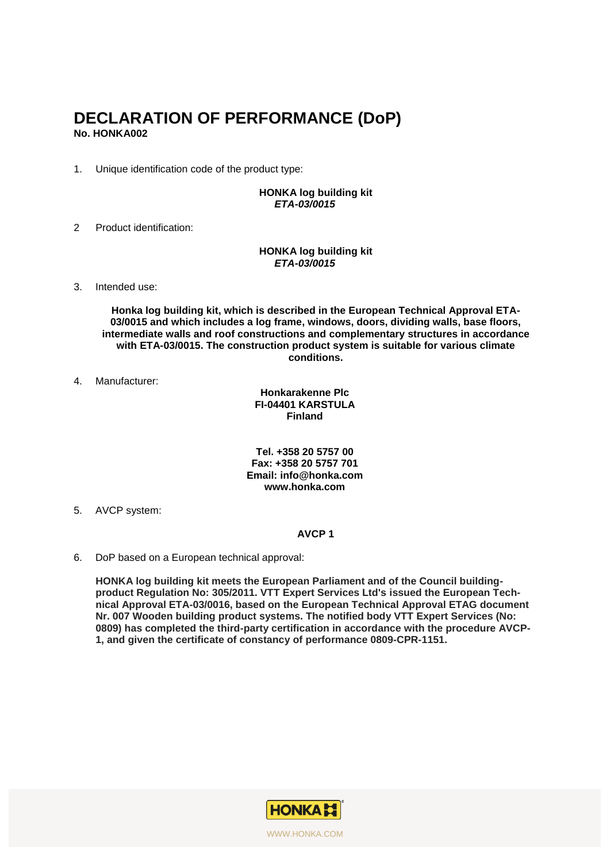### **DECLARATION OF PERFORMANCE (DoP) No. HONKA002**

1. Unique identification code of the product type:

#### **HONKA log building kit** *ETA-03/0015*

2 Product identification:

#### **HONKA log building kit** *ETA-03/0015*

3. Intended use:

**Honka log building kit, which is described in the European Technical Approval ETA-03/0015 and which includes a log frame, windows, doors, dividing walls, base floors, intermediate walls and roof constructions and complementary structures in accordance with ETA-03/0015. The construction product system is suitable for various climate conditions.**

4. Manufacturer:

#### **Honkarakenne Plc FI-04401 KARSTULA Finland**

#### **Tel. +358 20 5757 00 Fax: +358 20 5757 701 Email: info@honka.com www.honka.com**

5. AVCP system:

#### **AVCP 1**

6. DoP based on a European technical approval:

**HONKA log building kit meets the European Parliament and of the Council buildingproduct Regulation No: 305/2011. VTT Expert Services Ltd's issued the European Technical Approval ETA-03/0016, based on the European Technical Approval ETAG document Nr. 007 Wooden building product systems. The notified body VTT Expert Services (No: 0809) has completed the third-party certification in accordance with the procedure AVCP-1, and given the certificate of constancy of performance 0809-CPR-1151.**

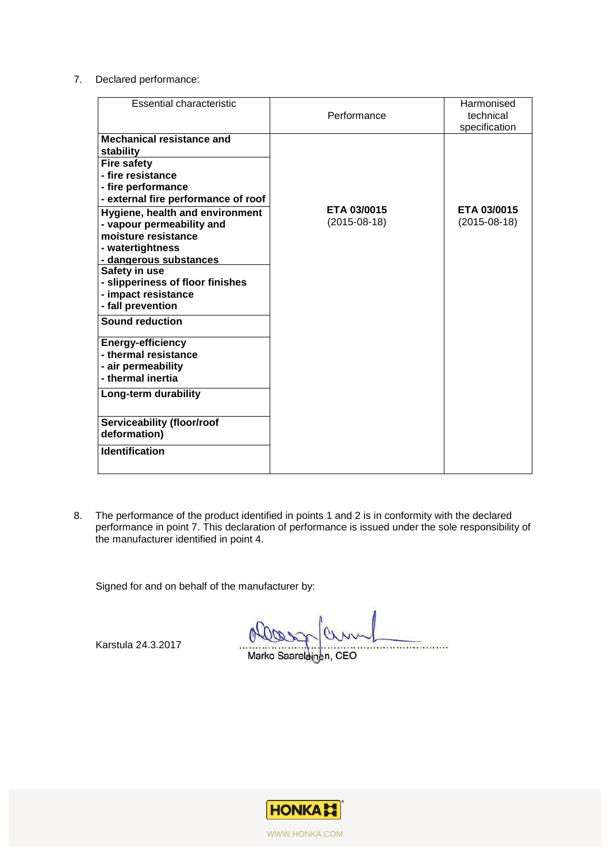7. Declared performance:

| <b>Essential characteristic</b>                                                                                                                                                                                                                                                                                                                                                                                                                                                                                                                                                                                     | Performance                   | Harmonised<br>technical<br>specification |
|---------------------------------------------------------------------------------------------------------------------------------------------------------------------------------------------------------------------------------------------------------------------------------------------------------------------------------------------------------------------------------------------------------------------------------------------------------------------------------------------------------------------------------------------------------------------------------------------------------------------|-------------------------------|------------------------------------------|
| Mechanical resistance and<br>stability<br><b>Fire safety</b><br>- fire resistance<br>- fire performance<br>- external fire performance of roof<br>Hygiene, health and environment<br>- vapour permeability and<br>moisture resistance<br>- watertightness<br>- dangerous substances<br>Safety in use<br>- slipperiness of floor finishes<br>- impact resistance<br>- fall prevention<br><b>Sound reduction</b><br><b>Energy-efficiency</b><br>- thermal resistance<br>- air permeability<br>- thermal inertia<br>Long-term durability<br><b>Serviceability (floor/roof</b><br>deformation)<br><b>Identification</b> | ETA 03/0015<br>$(2015-08-18)$ | ETA 03/0015<br>$(2015-08-18)$            |

8. The performance of the product identified in points 1 and 2 is in conformity with the declared performance in point 7. This declaration of performance is issued under the sole responsibility of the manufacturer identified in point 4.

Signed for and on behalf of the manufacturer by:

Karstula 24.3.2017

Marko Saarelainen, CEO